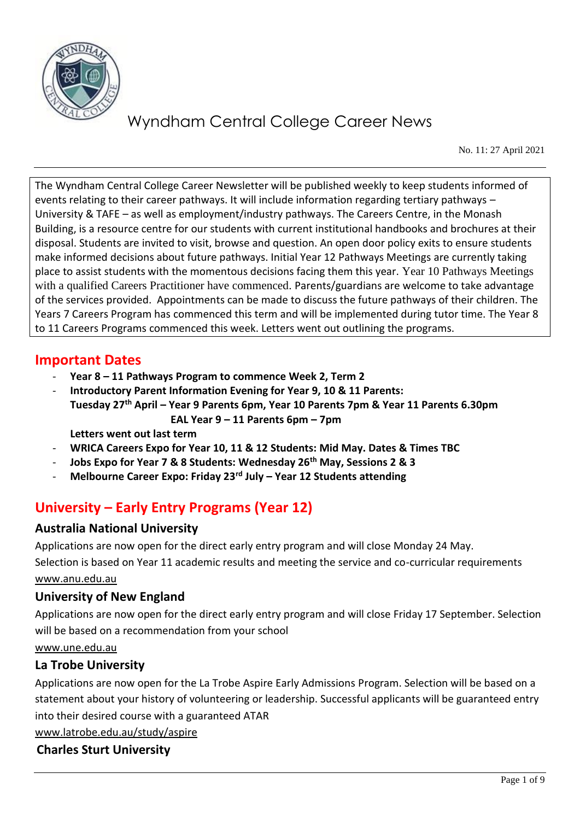

No. 11: 27 April 2021

The Wyndham Central College Career Newsletter will be published weekly to keep students informed of events relating to their career pathways. It will include information regarding tertiary pathways – University & TAFE – as well as employment/industry pathways. The Careers Centre, in the Monash Building, is a resource centre for our students with current institutional handbooks and brochures at their disposal. Students are invited to visit, browse and question. An open door policy exits to ensure students make informed decisions about future pathways. Initial Year 12 Pathways Meetings are currently taking place to assist students with the momentous decisions facing them this year. Year 10 Pathways Meetings with a qualified Careers Practitioner have commenced. Parents/guardians are welcome to take advantage of the services provided. Appointments can be made to discuss the future pathways of their children. The Years 7 Careers Program has commenced this term and will be implemented during tutor time. The Year 8 to 11 Careers Programs commenced this week. Letters went out outlining the programs.

### **Important Dates**

- **Year 8 – 11 Pathways Program to commence Week 2, Term 2**
- **Introductory Parent Information Evening for Year 9, 10 & 11 Parents: Tuesday 27th April – Year 9 Parents 6pm, Year 10 Parents 7pm & Year 11 Parents 6.30pm EAL Year 9 – 11 Parents 6pm – 7pm**

**Letters went out last term**

- **WRICA Careers Expo for Year 10, 11 & 12 Students: Mid May. Dates & Times TBC**
- **Jobs Expo for Year 7 & 8 Students: Wednesday 26th May, Sessions 2 & 3**
- **Melbourne Career Expo: Friday 23rd July – Year 12 Students attending**

## **University – Early Entry Programs (Year 12)**

### **Australia National University**

Applications are now open for the direct early entry program and will close Monday 24 May.

Selection is based on Year 11 academic results and meeting the service and co-curricular requirements [www.anu.edu.au](http://www.anu.edu.au/) 

### **University of New England**

Applications are now open for the direct early entry program and will close Friday 17 September. Selection will be based on a recommendation from your school

[www.une.edu.au](http://www.une.edu.au/)

### **La Trobe University**

Applications are now open for the La Trobe Aspire Early Admissions Program. Selection will be based on a statement about your history of volunteering or leadership. Successful applicants will be guaranteed entry into their desired course with a guaranteed ATAR

[www.latrobe.edu.au/study/aspire](http://www.latrobe.edu.au/study/aspire)

### **Charles Sturt University**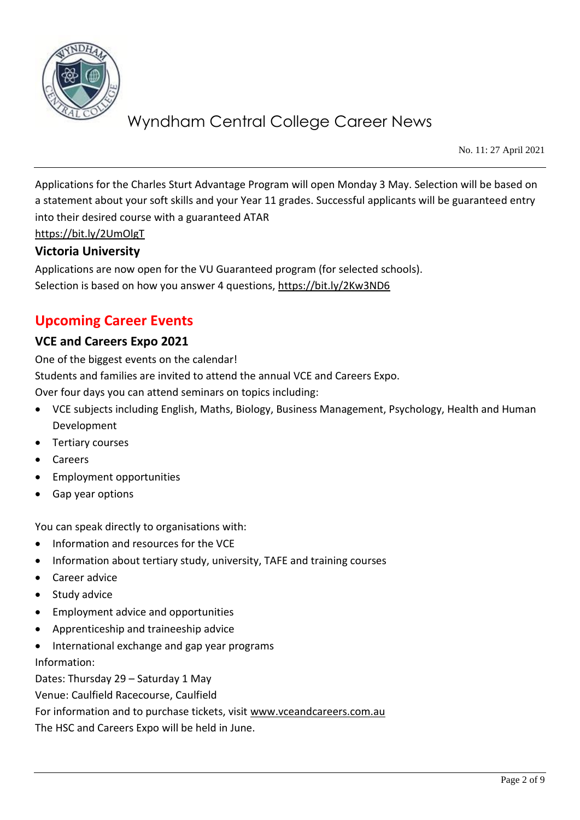

No. 11: 27 April 2021

Applications for the Charles Sturt Advantage Program will open Monday 3 May. Selection will be based on a statement about your soft skills and your Year 11 grades. Successful applicants will be guaranteed entry into their desired course with a guaranteed ATAR

<https://bit.ly/2UmOlgT>

#### **Victoria University**

Applications are now open for the VU Guaranteed program (for selected schools). Selection is based on how you answer 4 questions,<https://bit.ly/2Kw3ND6>

### **Upcoming Career Events**

#### **VCE and Careers Expo 2021**

One of the biggest events on the calendar! Students and families are invited to attend the annual VCE and Careers Expo. Over four days you can attend seminars on topics including:

- VCE subjects including English, Maths, Biology, Business Management, Psychology, Health and Human Development
- Tertiary courses
- Careers
- Employment opportunities
- Gap year options

You can speak directly to organisations with:

- Information and resources for the VCE
- Information about tertiary study, university, TAFE and training courses
- Career advice
- Study advice
- Employment advice and opportunities
- Apprenticeship and traineeship advice
- International exchange and gap year programs

Information:

Dates: Thursday 29 – Saturday 1 May

Venue: Caulfield Racecourse, Caulfield

For information and to purchase tickets, visit [www.vceandcareers.com.au](http://www.vceandcareers.com.au/)

The HSC and Careers Expo will be held in June.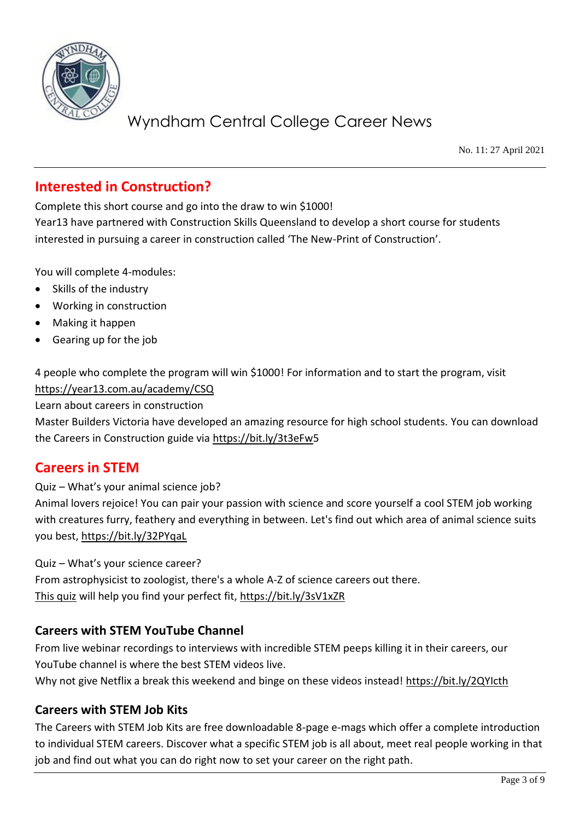

No. 11: 27 April 2021

### **Interested in Construction?**

Complete this short course and go into the draw to win \$1000!

Year13 have partnered with Construction Skills Queensland to develop a short course for students interested in pursuing a career in construction called 'The New-Print of Construction'.

You will complete 4-modules:

- Skills of the industry
- Working in construction
- Making it happen
- Gearing up for the job

4 people who complete the program will win \$1000! For information and to start the program, visit <https://year13.com.au/academy/CSQ>

Learn about careers in construction

Master Builders Victoria have developed an amazing resource for high school students. You can download the Careers in Construction guide via [https://bit.ly/3t3eFw5](https://bit.ly/3t3eFw)

### **Careers in STEM**

Quiz – What's your animal science job?

Animal lovers rejoice! You can pair your passion with science and score yourself a cool STEM job working with creatures furry, feathery and everything in between. Let's find out which area of animal science suits you best,<https://bit.ly/32PYqaL>

Quiz – What's your science career? From astrophysicist to zoologist, there's a whole A-Z of science careers out there. [This quiz](https://protect-au.mimecast.com/s/x-MhCNLJADF51NqFBDHw5?domain=refractionmedia.us7.list-manage.com) will help you find your perfect fit,<https://bit.ly/3sV1xZR>

#### **Careers with STEM YouTube Channel**

From live webinar recordings to interviews with incredible STEM peeps killing it in their careers, our YouTube channel is where the best STEM videos live.

Why not give Netflix a break this weekend and binge on these videos instead! https://bit.ly/2QYIcth

#### **Careers with STEM Job Kits**

The Careers with STEM Job Kits are free downloadable 8-page e-mags which offer a complete introduction to individual STEM careers. Discover what a specific STEM job is all about, meet real people working in that job and find out what you can do right now to set your career on the right path.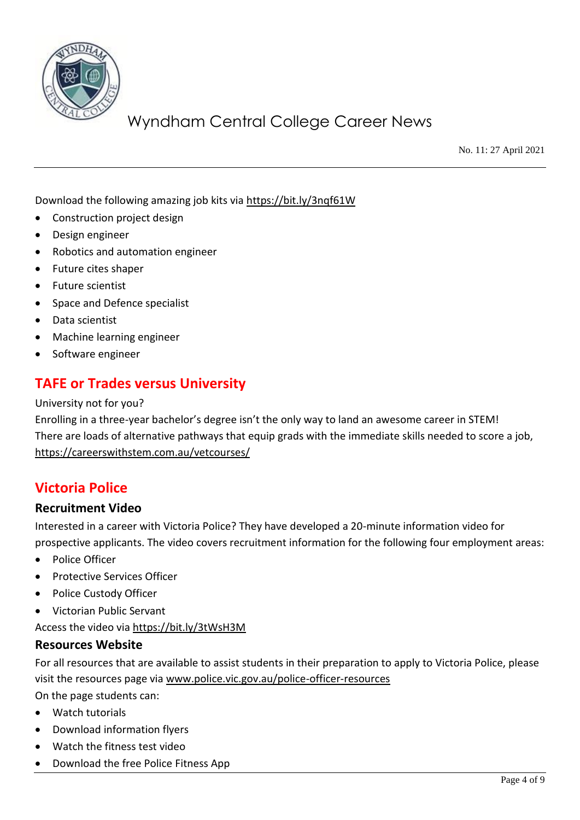

No. 11: 27 April 2021

Download the following amazing job kits via<https://bit.ly/3nqf61W>

- Construction project design
- Design engineer
- Robotics and automation engineer
- Future cites shaper
- Future scientist
- Space and Defence specialist
- Data scientist
- Machine learning engineer
- Software engineer

## **TAFE or Trades versus University**

#### University not for you?

Enrolling in a three-year bachelor's degree isn't the only way to land an awesome career in STEM! There are loads of alternative pathways that equip grads with the immediate skills needed to score a job, <https://careerswithstem.com.au/vetcourses/>

### **Victoria Police**

#### **Recruitment Video**

Interested in a career with Victoria Police? They have developed a 20-minute information video for prospective applicants. The video covers recruitment information for the following four employment areas:

- Police Officer
- Protective Services Officer
- Police Custody Officer
- Victorian Public Servant

Access the video via<https://bit.ly/3tWsH3M>

#### **Resources Website**

For all resources that are available to assist students in their preparation to apply to Victoria Police, please visit the resources page via [www.police.vic.gov.au/police-officer-resources](http://www.police.vic.gov.au/police-officer-resources) 

On the page students can:

- Watch tutorials
- Download information flyers
- Watch the fitness test video
- Download the free Police Fitness App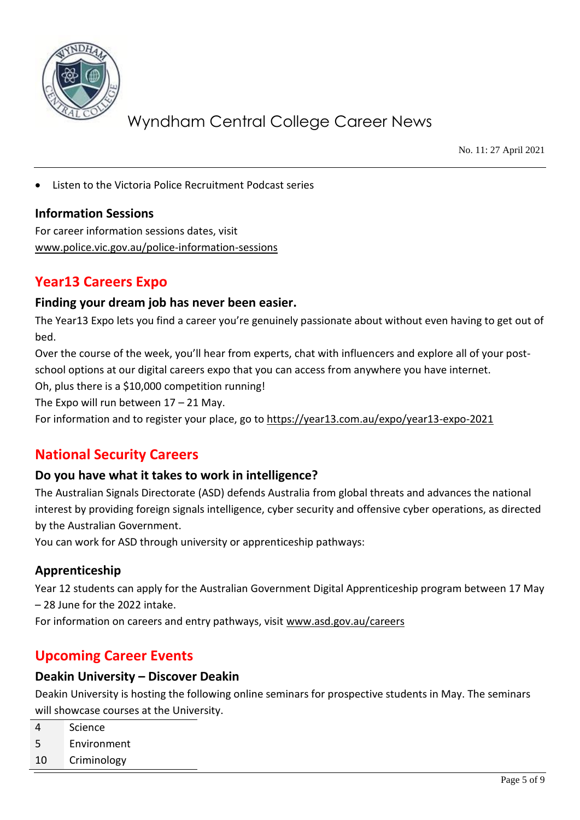

No. 11: 27 April 2021

Listen to the Victoria Police Recruitment Podcast series

#### **Information Sessions**

For career information sessions dates, visit [www.police.vic.gov.au/police-information-sessions](http://www.police.vic.gov.au/police-information-sessions)

### **Year13 Careers Expo**

#### **Finding your dream job has never been easier.**

The Year13 Expo lets you find a career you're genuinely passionate about without even having to get out of bed.

Over the course of the week, you'll hear from experts, chat with influencers and explore all of your postschool options at our digital careers expo that you can access from anywhere you have internet.

Oh, plus there is a \$10,000 competition running!

The Expo will run between  $17 - 21$  May.

For information and to register your place, go to<https://year13.com.au/expo/year13-expo-2021>

### **National Security Careers**

#### **Do you have what it takes to work in intelligence?**

The Australian Signals Directorate (ASD) defends Australia from global threats and advances the national interest by providing foreign signals intelligence, cyber security and offensive cyber operations, as directed by the Australian Government.

You can work for ASD through university or apprenticeship pathways:

#### **Apprenticeship**

Year 12 students can apply for the Australian Government Digital Apprenticeship program between 17 May – 28 June for the 2022 intake.

For information on careers and entry pathways, visit [www.asd.gov.au/careers](http://www.asd.gov.au/careers)

### **Upcoming Career Events**

#### **Deakin University – Discover Deakin**

Deakin University is hosting the following online seminars for prospective students in May. The seminars will showcase courses at the University.

- 4 Science
- 5 Environment
- 10 Criminology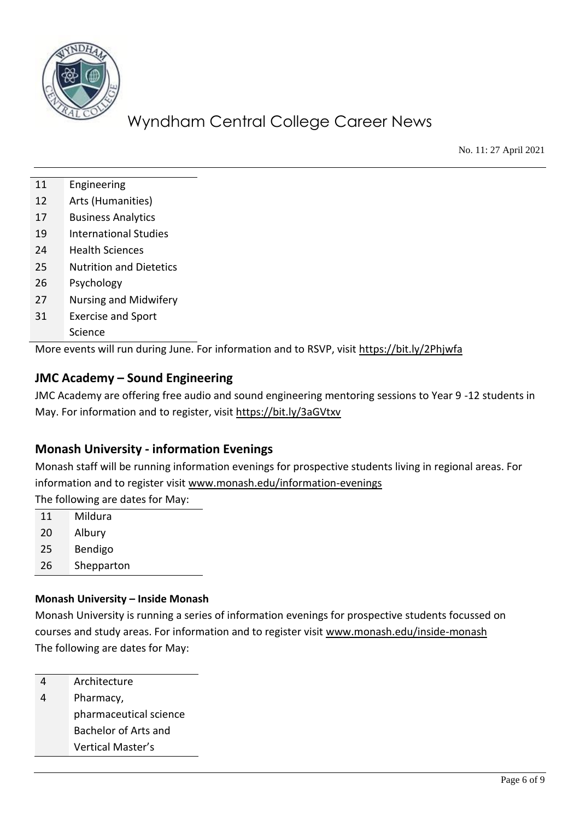

No. 11: 27 April 2021

- 11 Engineering
- 12 Arts (Humanities)
- 17 Business Analytics
- 19 International Studies
- 24 Health Sciences
- 25 Nutrition and Dietetics
- 26 Psychology
- 27 Nursing and Midwifery
- 31 Exercise and Sport Science

More events will run during June. For information and to RSVP, visit<https://bit.ly/2Phjwfa>

### **JMC Academy – Sound Engineering**

JMC Academy are offering free audio and sound engineering mentoring sessions to Year 9 -12 students in May. For information and to register, visit<https://bit.ly/3aGVtxv>

### **Monash University - information Evenings**

Monash staff will be running information evenings for prospective students living in regional areas. For information and to register visit [www.monash.edu/information-evenings](http://www.monash.edu/information-evenings) The following are dates for May:

11 Mildura 20 Albury 25 Bendigo 26 Shepparton

#### **Monash University – Inside Monash**

Monash University is running a series of information evenings for prospective students focussed on courses and study areas. For information and to register visit [www.monash.edu/inside-monash](http://www.monash.edu/inside-monash) The following are dates for May:

4 Architecture

4 Pharmacy, pharmaceutical science Bachelor of Arts and Vertical Master's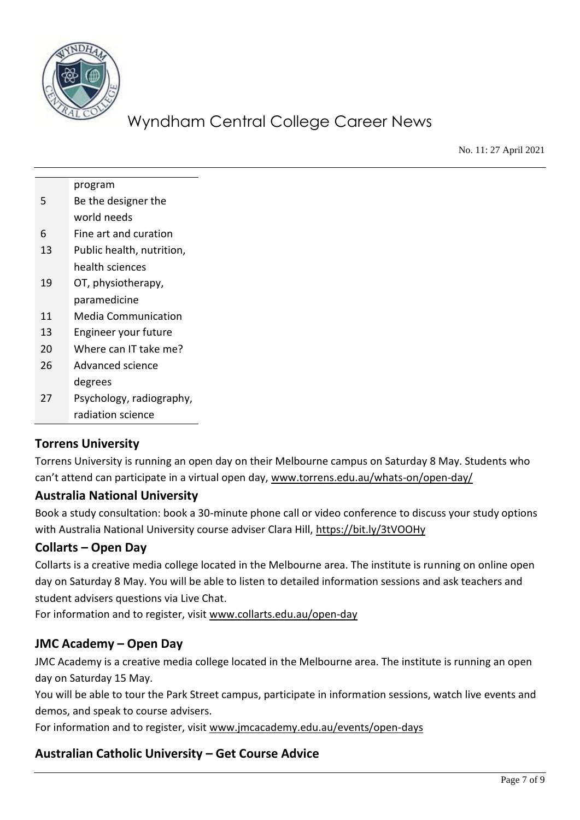

No. 11: 27 April 2021

|    | program                    |
|----|----------------------------|
| 5  | Be the designer the        |
|    | world needs                |
| 6  | Fine art and curation      |
| 13 | Public health, nutrition,  |
|    | health sciences            |
| 19 | OT, physiotherapy,         |
|    | paramedicine               |
| 11 | <b>Media Communication</b> |
| 13 | Engineer your future       |
| 20 | Where can IT take me?      |
| 26 | Advanced science           |
|    | degrees                    |
| 27 | Psychology, radiography,   |
|    | radiation science          |

#### **Torrens University**

Torrens University is running an open day on their Melbourne campus on Saturday 8 May. Students who can't attend can participate in a virtual open day, [www.torrens.edu.au/whats-on/open-day/](http://www.torrens.edu.au/whats-on/open-day/)

#### **Australia National University**

Book a study consultation: book a 30-minute phone call or video conference to discuss your study options with Australia National University course adviser Clara Hill,<https://bit.ly/3tVOOHy>

#### **Collarts – Open Day**

Collarts is a creative media college located in the Melbourne area. The institute is running on online open day on Saturday 8 May. You will be able to listen to detailed information sessions and ask teachers and student advisers questions via Live Chat.

For information and to register, visit [www.collarts.edu.au/open-day](http://www.collarts.edu.au/open-day)

### **JMC Academy – Open Day**

JMC Academy is a creative media college located in the Melbourne area. The institute is running an open day on Saturday 15 May.

You will be able to tour the Park Street campus, participate in information sessions, watch live events and demos, and speak to course advisers.

For information and to register, visit [www.jmcacademy.edu.au/events/open-days](http://www.jmcacademy.edu.au/events/open-days)

### **Australian Catholic University – Get Course Advice**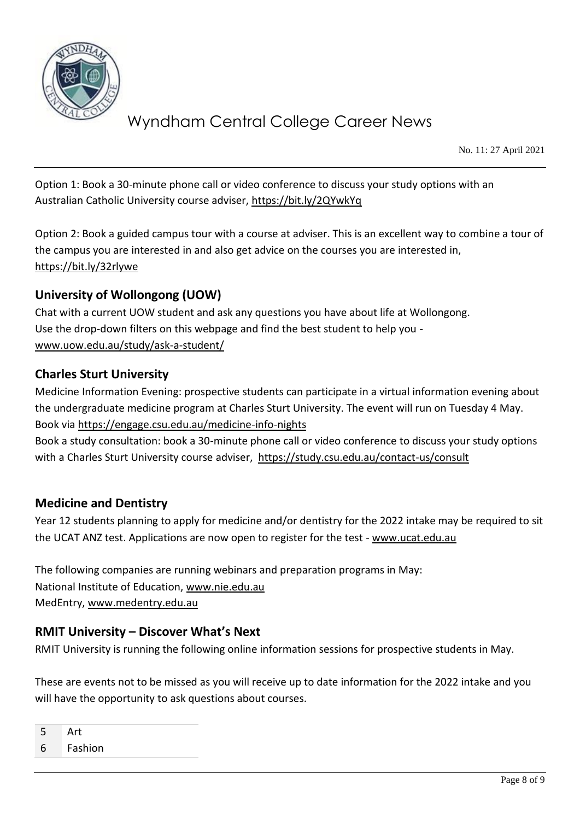

No. 11: 27 April 2021

Option 1: Book a 30-minute phone call or video conference to discuss your study options with an Australian Catholic University course adviser,<https://bit.ly/2QYwkYq>

Option 2: Book a guided campus tour with a course at adviser. This is an excellent way to combine a tour of the campus you are interested in and also get advice on the courses you are interested in, <https://bit.ly/32rlywe>

### **University of Wollongong (UOW)**

Chat with a current UOW student and ask any questions you have about life at Wollongong. Use the drop-down filters on this webpage and find the best student to help you [www.uow.edu.au/study/ask-a-student/](http://www.uow.edu.au/study/ask-a-student/) 

#### **Charles Sturt University**

Medicine Information Evening: prospective students can participate in a virtual information evening about the undergraduate medicine program at Charles Sturt University. The event will run on Tuesday 4 May. Book via<https://engage.csu.edu.au/medicine-info-nights>

Book a study consultation: book a 30-minute phone call or video conference to discuss your study options with a Charles Sturt University course adviser, <https://study.csu.edu.au/contact-us/consult>

#### **Medicine and Dentistry**

Year 12 students planning to apply for medicine and/or dentistry for the 2022 intake may be required to sit the UCAT ANZ test. Applications are now open to register for the test - [www.ucat.edu.au](http://www.ucat.edu.au/)

The following companies are running webinars and preparation programs in May: National Institute of Education, [www.nie.edu.au](http://www.nie.edu.au/) MedEntry, [www.medentry.edu.au](http://www.medentry.edu.au/)

#### **RMIT University – Discover What's Next**

RMIT University is running the following online information sessions for prospective students in May.

These are events not to be missed as you will receive up to date information for the 2022 intake and you will have the opportunity to ask questions about courses.

5 Art 6 Fashion